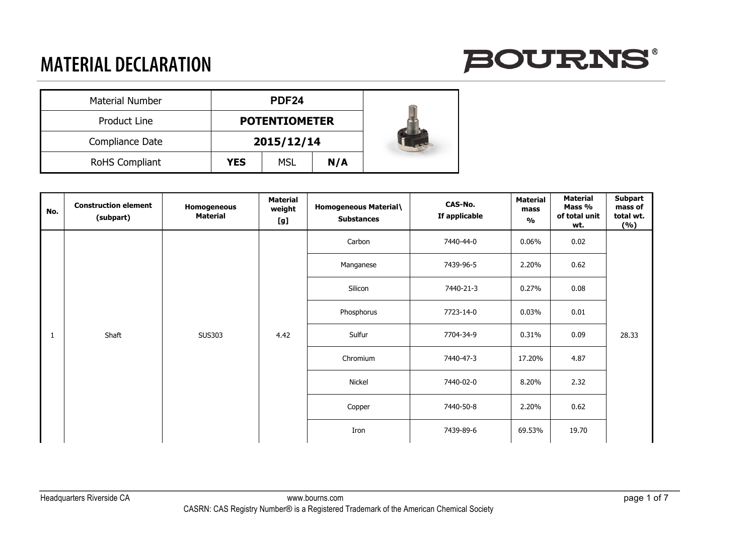

| <b>Material Number</b> | PDF <sub>24</sub> |                      |     |  |
|------------------------|-------------------|----------------------|-----|--|
| Product Line           |                   | <b>POTENTIOMETER</b> |     |  |
| Compliance Date        |                   | 2015/12/14           |     |  |
| <b>RoHS Compliant</b>  | <b>YES</b>        | <b>MSL</b>           | N/A |  |

| No. | <b>Construction element</b><br>(subpart) | Homogeneous<br><b>Material</b> | <b>Material</b><br>weight<br>[g] | <b>Homogeneous Material\</b><br><b>Substances</b> | CAS-No.<br>If applicable | <b>Material</b><br>mass<br>$\mathsf{o}\mathsf{v}_\mathsf{o}$ | <b>Material</b><br>Mass %<br>of total unit<br>wt. | <b>Subpart</b><br>mass of<br>total wt.<br>(%) |
|-----|------------------------------------------|--------------------------------|----------------------------------|---------------------------------------------------|--------------------------|--------------------------------------------------------------|---------------------------------------------------|-----------------------------------------------|
|     |                                          |                                |                                  | Carbon                                            | 7440-44-0                | $0.06\%$                                                     | 0.02                                              |                                               |
|     |                                          |                                | <b>SUS303</b><br>4.42            | Manganese                                         | 7439-96-5                | 2.20%                                                        | 0.62                                              | 28.33                                         |
|     |                                          |                                |                                  | Silicon                                           | 7440-21-3                | 0.27%                                                        | 0.08                                              |                                               |
|     | Shaft<br>1                               |                                |                                  | Phosphorus                                        | 7723-14-0                | 0.03%                                                        | 0.01                                              |                                               |
|     |                                          |                                |                                  | Sulfur                                            | 7704-34-9                | 0.31%                                                        | 0.09                                              |                                               |
|     |                                          |                                |                                  | Chromium                                          | 7440-47-3                | 17.20%                                                       | 4.87                                              |                                               |
|     |                                          |                                |                                  | Nickel                                            | 7440-02-0                | 8.20%                                                        | 2.32                                              |                                               |
|     |                                          |                                |                                  | Copper                                            | 7440-50-8                | 2.20%                                                        | 0.62                                              |                                               |
|     |                                          |                                |                                  | Iron                                              | 7439-89-6                | 69.53%                                                       | 19.70                                             |                                               |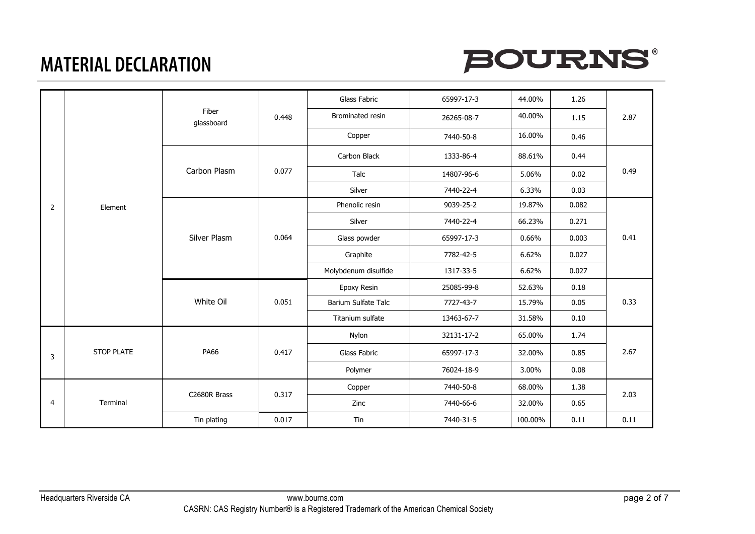



|                |                   |                     |       | Glass Fabric         | 65997-17-3 | 44.00%  | 1.26  |      |
|----------------|-------------------|---------------------|-------|----------------------|------------|---------|-------|------|
|                |                   | Fiber<br>glassboard | 0.448 | Brominated resin     | 26265-08-7 | 40.00%  | 1.15  | 2.87 |
|                |                   |                     |       | Copper               | 7440-50-8  | 16.00%  | 0.46  |      |
|                |                   |                     |       | Carbon Black         | 1333-86-4  | 88.61%  | 0.44  |      |
|                |                   | Carbon Plasm        | 0.077 | Talc                 | 14807-96-6 | 5.06%   | 0.02  | 0.49 |
|                |                   |                     |       | Silver               | 7440-22-4  | 6.33%   | 0.03  |      |
| $\overline{2}$ | Element           |                     | 0.064 | Phenolic resin       | 9039-25-2  | 19.87%  | 0.082 |      |
|                |                   |                     |       | Silver               | 7440-22-4  | 66.23%  | 0.271 | 0.41 |
|                |                   | Silver Plasm        |       | Glass powder         | 65997-17-3 | 0.66%   | 0.003 |      |
|                |                   |                     |       | Graphite             | 7782-42-5  | 6.62%   | 0.027 |      |
|                |                   |                     |       | Molybdenum disulfide | 1317-33-5  | 6.62%   | 0.027 |      |
|                |                   | White Oil           | 0.051 | Epoxy Resin          | 25085-99-8 | 52.63%  | 0.18  | 0.33 |
|                |                   |                     |       | Barium Sulfate Talc  | 7727-43-7  | 15.79%  | 0.05  |      |
|                |                   |                     |       | Titanium sulfate     | 13463-67-7 | 31.58%  | 0.10  |      |
|                |                   |                     |       | Nylon                | 32131-17-2 | 65.00%  | 1.74  | 2.67 |
| 3              | <b>STOP PLATE</b> | <b>PA66</b>         | 0.417 | Glass Fabric         | 65997-17-3 | 32.00%  | 0.85  |      |
|                |                   |                     |       | Polymer              | 76024-18-9 | 3.00%   | 0.08  |      |
|                |                   |                     |       | Copper               | 7440-50-8  | 68.00%  | 1.38  | 2.03 |
| 4              | Terminal          | C2680R Brass        | 0.317 | Zinc                 | 7440-66-6  | 32.00%  | 0.65  |      |
|                |                   | Tin plating         | 0.017 | Tin                  | 7440-31-5  | 100.00% | 0.11  | 0.11 |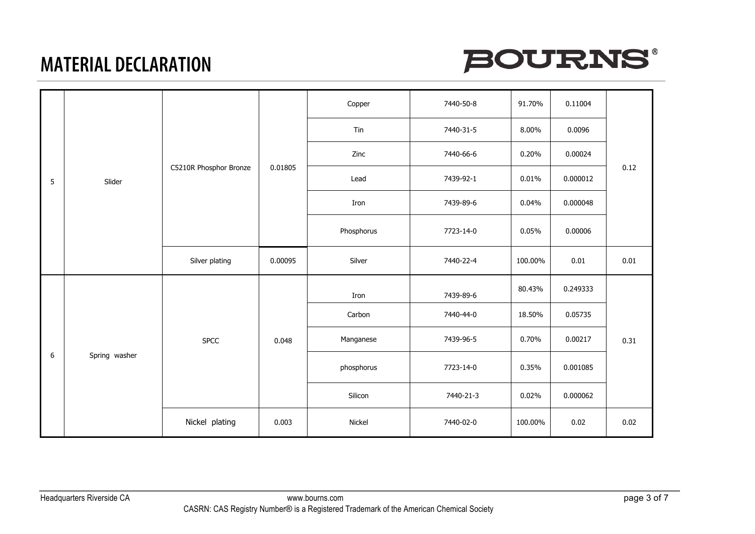

|                  |               |                        |         | Copper     | 7440-50-8 | 91.70%  | 0.11004  | 0.12 |
|------------------|---------------|------------------------|---------|------------|-----------|---------|----------|------|
|                  |               |                        |         | Tin        | 7440-31-5 | 8.00%   | 0.0096   |      |
|                  |               |                        |         | Zinc       | 7440-66-6 | 0.20%   | 0.00024  |      |
| 5                | Slider        | C5210R Phosphor Bronze | 0.01805 | Lead       | 7439-92-1 | 0.01%   | 0.000012 |      |
|                  |               |                        |         | Iron       | 7439-89-6 | 0.04%   | 0.000048 |      |
|                  |               |                        |         | Phosphorus | 7723-14-0 | 0.05%   | 0.00006  |      |
|                  |               | Silver plating         | 0.00095 | Silver     | 7440-22-4 | 100.00% | 0.01     | 0.01 |
|                  | Spring washer | <b>SPCC</b>            | 0.048   | Iron       | 7439-89-6 | 80.43%  | 0.249333 | 0.31 |
|                  |               |                        |         | Carbon     | 7440-44-0 | 18.50%  | 0.05735  |      |
|                  |               |                        |         | Manganese  | 7439-96-5 | 0.70%   | 0.00217  |      |
| $\boldsymbol{6}$ |               |                        |         | phosphorus | 7723-14-0 | 0.35%   | 0.001085 |      |
|                  |               |                        |         | Silicon    | 7440-21-3 | 0.02%   | 0.000062 |      |
|                  |               | Nickel plating         | 0.003   | Nickel     | 7440-02-0 | 100.00% | 0.02     | 0.02 |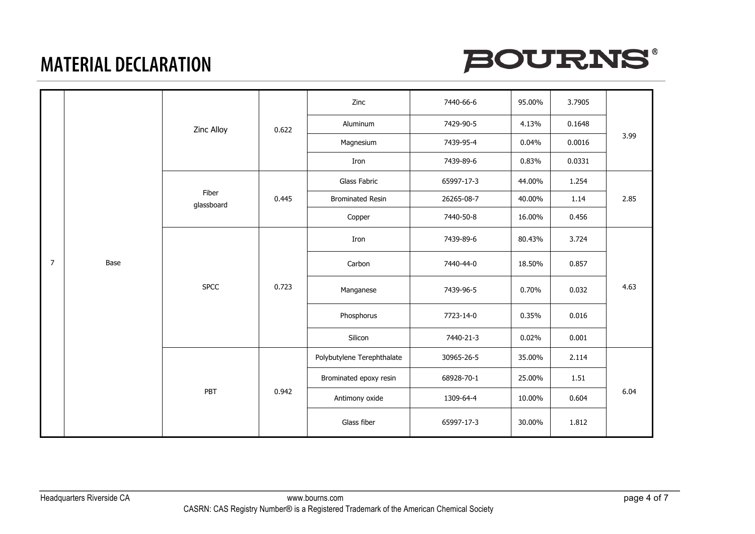



|                |      |                     | 0.622 | Zinc                       | 7440-66-6  | 95.00% | 3.7905 |      |
|----------------|------|---------------------|-------|----------------------------|------------|--------|--------|------|
|                |      | Zinc Alloy          |       | Aluminum                   | 7429-90-5  | 4.13%  | 0.1648 |      |
|                |      |                     |       | Magnesium                  | 7439-95-4  | 0.04%  | 0.0016 | 3.99 |
|                |      |                     |       | Iron                       | 7439-89-6  | 0.83%  | 0.0331 |      |
|                |      |                     | 0.445 | Glass Fabric               | 65997-17-3 | 44.00% | 1.254  |      |
|                |      | Fiber<br>glassboard |       | <b>Brominated Resin</b>    | 26265-08-7 | 40.00% | 1.14   | 2.85 |
|                |      |                     |       | Copper                     | 7440-50-8  | 16.00% | 0.456  |      |
|                | Base | <b>SPCC</b><br>PBT  | 0.723 | Iron                       | 7439-89-6  | 80.43% | 3.724  | 4.63 |
| $\overline{7}$ |      |                     |       | Carbon                     | 7440-44-0  | 18.50% | 0.857  |      |
|                |      |                     |       | Manganese                  | 7439-96-5  | 0.70%  | 0.032  |      |
|                |      |                     |       | Phosphorus                 | 7723-14-0  | 0.35%  | 0.016  |      |
|                |      |                     |       | Silicon                    | 7440-21-3  | 0.02%  | 0.001  |      |
|                |      |                     | 0.942 | Polybutylene Terephthalate | 30965-26-5 | 35.00% | 2.114  | 6.04 |
|                |      |                     |       | Brominated epoxy resin     | 68928-70-1 | 25.00% | 1.51   |      |
|                |      |                     |       | Antimony oxide             | 1309-64-4  | 10.00% | 0.604  |      |
|                |      |                     |       | Glass fiber                | 65997-17-3 | 30.00% | 1.812  |      |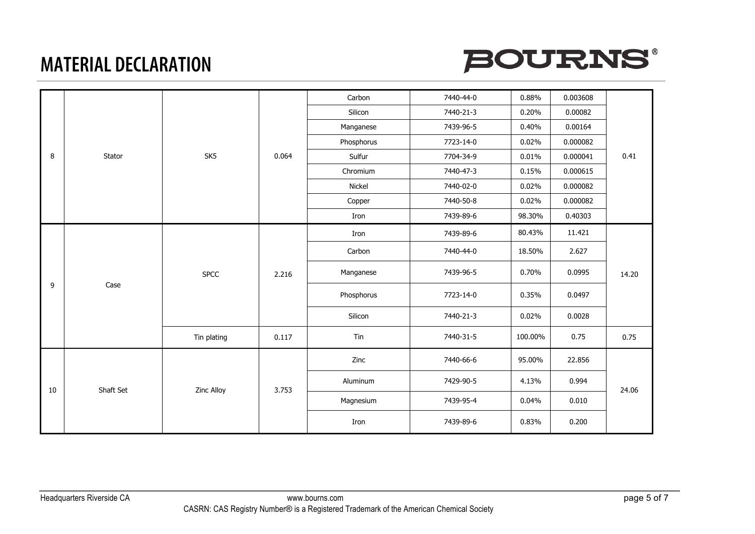



|    |        |                         |       | Carbon     | 7440-44-0 | 0.88%   | 0.003608  |       |       |  |
|----|--------|-------------------------|-------|------------|-----------|---------|-----------|-------|-------|--|
|    |        |                         |       | Silicon    | 7440-21-3 | 0.20%   | 0.00082   |       |       |  |
|    |        |                         |       | Manganese  | 7439-96-5 | 0.40%   | 0.00164   |       |       |  |
|    |        |                         |       | Phosphorus | 7723-14-0 | 0.02%   | 0.000082  |       |       |  |
| 8  | Stator | SK5                     | 0.064 | Sulfur     | 7704-34-9 | 0.01%   | 0.000041  | 0.41  |       |  |
|    |        |                         |       | Chromium   | 7440-47-3 | 0.15%   | 0.000615  |       |       |  |
|    |        |                         |       | Nickel     | 7440-02-0 | 0.02%   | 0.000082  |       |       |  |
|    |        |                         |       | Copper     | 7440-50-8 | 0.02%   | 0.000082  |       |       |  |
|    |        |                         |       | Iron       | 7439-89-6 | 98.30%  | 0.40303   |       |       |  |
|    | Case   | <b>SPCC</b>             |       | Iron       | 7439-89-6 | 80.43%  | 11.421    | 14.20 |       |  |
|    |        |                         | 2.216 | Carbon     | 7440-44-0 | 18.50%  | 2.627     |       |       |  |
|    |        |                         |       | Manganese  | 7439-96-5 | 0.70%   | 0.0995    |       |       |  |
| 9  |        |                         |       | Phosphorus | 7723-14-0 | 0.35%   | 0.0497    |       |       |  |
|    |        |                         |       | Silicon    | 7440-21-3 | 0.02%   | 0.0028    |       |       |  |
|    |        | Tin plating             | 0.117 | Tin        | 7440-31-5 | 100.00% | 0.75      | 0.75  |       |  |
|    |        | Shaft Set<br>Zinc Alloy | 3.753 | Zinc       | 7440-66-6 | 95.00%  | 22.856    | 24.06 |       |  |
| 10 |        |                         |       | Aluminum   | 7429-90-5 | 4.13%   | 0.994     |       |       |  |
|    |        |                         |       | Magnesium  | 7439-95-4 | 0.04%   | 0.010     |       |       |  |
|    |        |                         |       |            |           | Iron    | 7439-89-6 | 0.83% | 0.200 |  |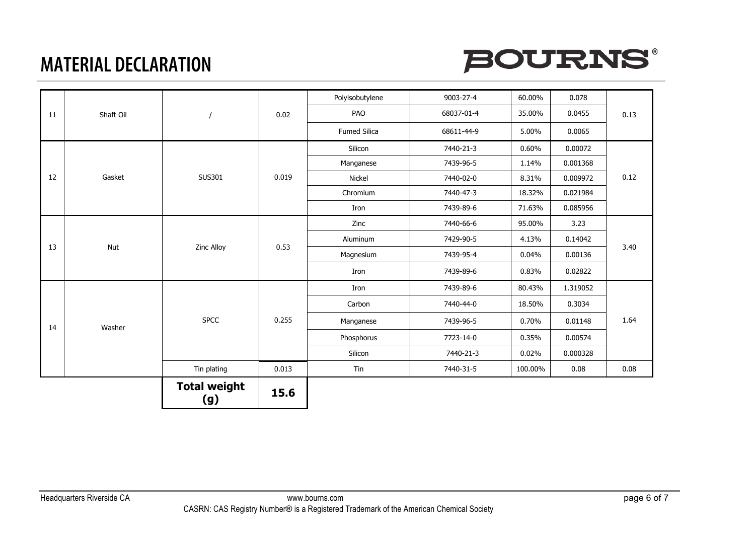

|    |           |                            |       | Polyisobutylene | 9003-27-4  | 60.00%  | 0.078    |      |
|----|-----------|----------------------------|-------|-----------------|------------|---------|----------|------|
| 11 | Shaft Oil |                            | 0.02  | PAO             | 68037-01-4 | 35.00%  | 0.0455   | 0.13 |
|    |           |                            |       | Fumed Silica    | 68611-44-9 | 5.00%   | 0.0065   |      |
|    |           |                            |       | Silicon         | 7440-21-3  | 0.60%   | 0.00072  |      |
|    |           |                            |       | Manganese       | 7439-96-5  | 1.14%   | 0.001368 |      |
| 12 | Gasket    | SUS301                     | 0.019 | Nickel          | 7440-02-0  | 8.31%   | 0.009972 | 0.12 |
|    |           |                            |       | Chromium        | 7440-47-3  | 18.32%  | 0.021984 |      |
|    |           |                            |       | Iron            | 7439-89-6  | 71.63%  | 0.085956 |      |
|    | Nut       | Zinc Alloy                 |       | Zinc            | 7440-66-6  | 95.00%  | 3.23     | 3.40 |
|    |           |                            | 0.53  | Aluminum        | 7429-90-5  | 4.13%   | 0.14042  |      |
| 13 |           |                            |       | Magnesium       | 7439-95-4  | 0.04%   | 0.00136  |      |
|    |           |                            |       | Iron            | 7439-89-6  | 0.83%   | 0.02822  |      |
|    |           | <b>SPCC</b>                | 0.255 | Iron            | 7439-89-6  | 80.43%  | 1.319052 | 1.64 |
|    |           |                            |       | Carbon          | 7440-44-0  | 18.50%  | 0.3034   |      |
| 14 | Washer    |                            |       | Manganese       | 7439-96-5  | 0.70%   | 0.01148  |      |
|    |           |                            |       | Phosphorus      | 7723-14-0  | 0.35%   | 0.00574  |      |
|    |           |                            |       | Silicon         | 7440-21-3  | 0.02%   | 0.000328 |      |
|    |           | Tin plating                | 0.013 | Tin             | 7440-31-5  | 100.00% | 0.08     | 0.08 |
|    |           | <b>Total weight</b><br>(g) | 15.6  |                 |            |         |          |      |